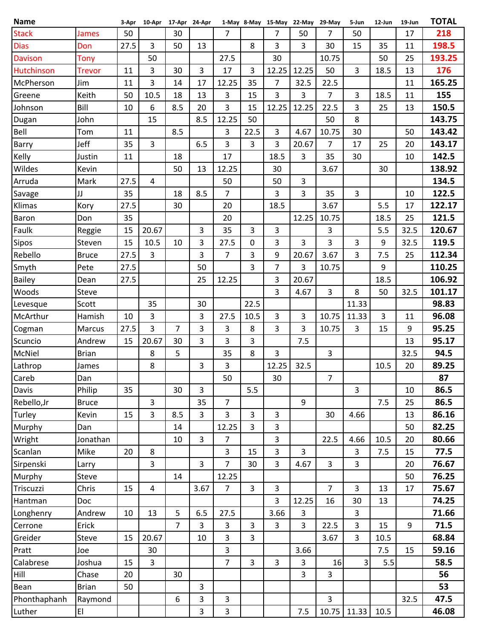| <b>Name</b>    |               | 3-Apr | 10-Apr 17-Apr 24-Apr |                |                |                |                | 1-May 8-May 15-May 22-May 29-May |                |                | 5-Jun          | 12-Jun | 19-Jun | <b>TOTAL</b> |
|----------------|---------------|-------|----------------------|----------------|----------------|----------------|----------------|----------------------------------|----------------|----------------|----------------|--------|--------|--------------|
| <b>Stack</b>   | <b>James</b>  | 50    |                      | 30             |                | 7              |                | 7                                | 50             | 7              | 50             |        | 17     | 218          |
| <b>Dias</b>    | Don           | 27.5  | 3                    | 50             | 13             |                | 8              | 3                                | 3              | 30             | 15             | 35     | 11     | 198.5        |
| <b>Davison</b> | <b>Tony</b>   |       | 50                   |                |                | 27.5           |                | 30                               |                | 10.75          |                | 50     | 25     | 193.25       |
| Hutchinson     | <b>Trevor</b> | 11    | 3                    | 30             | 3              | 17             | 3              | 12.25                            | 12.25          | 50             | $\overline{3}$ | 18.5   | 13     | 176          |
| McPherson      | Jim           | 11    | 3                    | 14             | 17             | 12.25          | 35             | $\overline{7}$                   | 32.5           | 22.5           |                |        | 11     | 165.25       |
| Greene         | Keith         | 50    | 10.5                 | 18             | 13             | 3              | 15             | 3                                | 3              | 7              | 3              | 18.5   | 11     | 155          |
| Johnson        | Bill          | 10    | 6                    | 8.5            | 20             | 3              | 15             | 12.25                            | 12.25          | 22.5           | 3              | 25     | 13     | 150.5        |
| Dugan          | John          |       | 15                   |                | 8.5            | 12.25          | 50             |                                  |                | 50             | 8              |        |        | 143.75       |
| Bell           | Tom           | 11    |                      | 8.5            |                | 3              | 22.5           | 3                                | 4.67           | 10.75          | 30             |        | 50     | 143.42       |
| Barry          | Jeff          | 35    | 3                    |                | 6.5            | 3              | 3              | 3                                | 20.67          | 7              | 17             | 25     | 20     | 143.17       |
| Kelly          | Justin        | 11    |                      | 18             |                | 17             |                | 18.5                             | $\mathbf{3}$   | 35             | 30             |        | 10     | 142.5        |
| Wildes         | Kevin         |       |                      | 50             | 13             | 12.25          |                | 30                               |                | 3.67           |                | 30     |        | 138.92       |
| Arruda         | Mark          | 27.5  | 4                    |                |                | 50             |                | 50                               | 3              |                |                |        |        | 134.5        |
| Savage         | JJ            | 35    |                      | 18             | 8.5            | 7              |                | 3                                | 3              | 35             | 3              |        | 10     | 122.5        |
| Klimas         | Kory          | 27.5  |                      | 30             |                | 20             |                | 18.5                             |                | 3.67           |                | 5.5    | 17     | 122.17       |
| <b>Baron</b>   | Don           | 35    |                      |                |                | 20             |                |                                  | 12.25          | 10.75          |                | 18.5   | 25     | 121.5        |
| Faulk          | Reggie        | 15    | 20.67                |                | 3              | 35             | 3              | 3                                |                | 3              |                | 5.5    | 32.5   | 120.67       |
| Sipos          | Steven        | 15    | 10.5                 | 10             | 3              | 27.5           | 0              | 3                                | 3              | 3              | 3              | 9      | 32.5   | 119.5        |
| Rebello        | <b>Bruce</b>  | 27.5  | 3                    |                | 3              | $\overline{7}$ | 3              | 9                                | 20.67          | 3.67           | 3              | 7.5    | 25     | 112.34       |
| Smyth          | Pete          | 27.5  |                      |                | 50             |                | 3              | $\overline{7}$                   | 3              | 10.75          |                | 9      |        | 110.25       |
| <b>Bailey</b>  | Dean          | 27.5  |                      |                | 25             | 12.25          |                | 3                                | 20.67          |                |                | 18.5   |        | 106.92       |
| Woods          | Steve         |       |                      |                |                |                |                | 3                                | 4.67           | 3              | 8              | 50     | 32.5   | 101.17       |
| Levesque       | Scott         |       | 35                   |                | 30             |                | 22.5           |                                  |                |                | 11.33          |        |        | 98.83        |
| McArthur       | Hamish        | 10    | 3                    |                | 3              | 27.5           | 10.5           | 3                                | 3              | 10.75          | 11.33          | 3      | 11     | 96.08        |
| Cogman         | Marcus        | 27.5  | 3                    | $\overline{7}$ | 3              | 3              | 8              | 3                                | 3              | 10.75          | 3              | 15     | 9      | 95.25        |
| Scuncio        | Andrew        | 15    | 20.67                | 30             | 3              | 3              | 3              |                                  | 7.5            |                |                |        | 13     | 95.17        |
| McNiel         | <b>Brian</b>  |       | 8                    | 5              |                | 35             | 8              | 3                                |                | 3              |                |        | 32.5   | 94.5         |
| Lathrop        | James         |       | 8                    |                | 3              | 3              |                | 12.25                            | 32.5           |                |                | 10.5   | 20     | 89.25        |
| Careb          | Dan           |       |                      |                |                | 50             |                | 30 <sub>o</sub>                  |                | $\overline{7}$ |                |        |        | 87           |
| Davis          | Philip        | 35    |                      | 30             | 3              |                | 5.5            |                                  |                |                | 3              |        | 10     | 86.5         |
| Rebello, Jr    | <b>Bruce</b>  |       | 3                    |                | 35             | $\overline{7}$ |                |                                  | 9              |                |                | 7.5    | 25     | 86.5         |
| Turley         | Kevin         | 15    | 3                    | 8.5            | $\overline{3}$ | 3              | 3              | 3                                |                | 30             | 4.66           |        | 13     | 86.16        |
| Murphy         | Dan           |       |                      | 14             |                | 12.25          | $\overline{3}$ | 3                                |                |                |                |        | 50     | 82.25        |
| Wright         | Jonathan      |       |                      | 10             | 3              | 7              |                | 3                                |                | 22.5           | 4.66           | 10.5   | 20     | 80.66        |
| Scanlan        | Mike          | 20    | 8                    |                |                | 3              | 15             | 3                                | $\overline{3}$ |                | 3              | 7.5    | 15     | 77.5         |
| Sirpenski      | Larry         |       | 3                    |                | 3              | $\overline{7}$ | 30             | $\overline{3}$                   | 4.67           | 3              | 3              |        | 20     | 76.67        |
| Murphy         | Steve         |       |                      | 14             |                | 12.25          |                |                                  |                |                |                |        | 50     | 76.25        |
| Triscuzzi      | Chris         | 15    | 4                    |                | 3.67           | $\overline{7}$ | 3              | 3                                |                | $\overline{7}$ | 3              | 13     | 17     | 75.67        |
| Hantman        | Doc           |       |                      |                |                |                |                | 3                                | 12.25          | 16             | 30             | 13     |        | 74.25        |
| Longhenry      | Andrew        | 10    | 13                   | 5              | 6.5            | 27.5           |                | 3.66                             | 3              |                | 3              |        |        | 71.66        |
| Cerrone        | Erick         |       |                      | $\overline{7}$ | $\overline{3}$ | 3              | 3              | 3                                | 3              | 22.5           | 3              | 15     | 9      | 71.5         |
| Greider        | Steve         | 15    | 20.67                |                | 10             | 3              | 3              |                                  |                | 3.67           | $\mathbf{3}$   | 10.5   |        | 68.84        |
| Pratt          | Joe           |       | 30                   |                |                | 3              |                |                                  | 3.66           |                |                | 7.5    | 15     | 59.16        |
| Calabrese      | Joshua        | 15    | $\overline{3}$       |                |                | $\overline{7}$ | 3              | 3                                | 3              | 16             | 3              | 5.5    |        | 58.5         |
| Hill           | Chase         | 20    |                      | 30             |                |                |                |                                  | 3              | $\overline{3}$ |                |        |        | 56           |
| Bean           | <b>Brian</b>  | 50    |                      |                | 3              |                |                |                                  |                |                |                |        |        | 53           |
| Phonthaphanh   | Raymond       |       |                      | 6              | 3              | 3              |                |                                  |                | 3              |                |        | 32.5   | 47.5         |
| Luther         | EI            |       |                      |                | 3              | 3              |                |                                  | 7.5            | 10.75          | 11.33          | 10.5   |        | 46.08        |